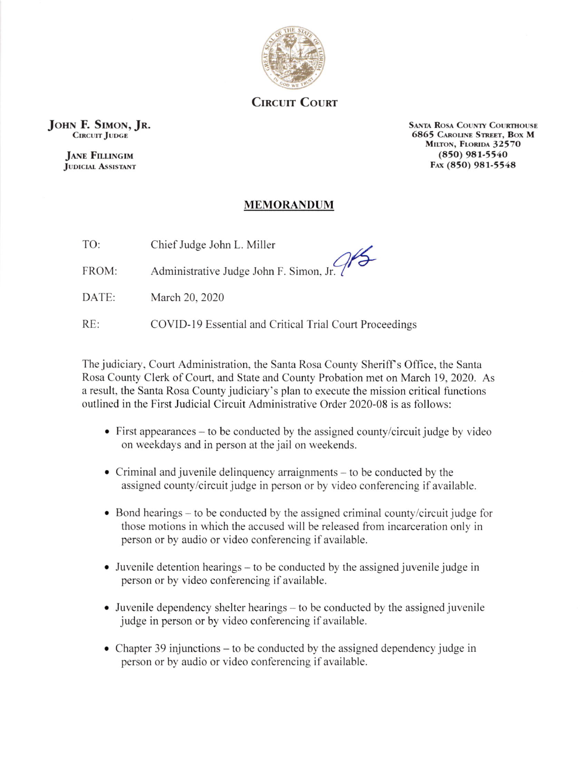

**CIRCUIT COURT** 

JOHN F. SIMON, JR. CIRCUIT JUDGE

> **JANE FILLINGIM** JUDICIAL ASSISTANT

SANTA ROSA COUNTY COURTHOUSE 6865 CAROLINE STREET, BOX M MILTON, FLORIDA 32570  $(850)$  981-5540 F<sub>AX</sub> (850) 981-5548

## MEMORANDUM

| TO: | Chief Judge John L. Miller |  |
|-----|----------------------------|--|
|     |                            |  |

FROM: Administrative Judge John F. Simon, Jr.

DATE: March 20, 2020

RE: COVID-19 Essential and Critical Trial Court Proceedings

The judiciary, Court Administration, the Santa Rosa County Sheriff's Office, the Santa Rosa County Clerk of Court, and State and County Probation met on March 19,2020. As <sup>a</sup>result. the Santa Rosa County judiciary's plan to execute the mission critical functions outlined in the First Judicial Circuit Administrative Order 2020-08 is as follows:

- . First appearances to be conducted by the assigned county/circuit judge by video on weekdays and in person at the jail on weekends.
- . Criminal and juvenile delinquency arraignments to be conducted by the assigned county/circuit judge in person or by video conferencing if available.
- $\bullet$  Bond hearings to be conducted by the assigned criminal county/circuit judge for those motions in which the accused will be released from incarceration only in person or by audio or video conferencing if available.
- $\bullet$  Juvenile detention hearings to be conducted by the assigned juvenile judge in person or by video conferencing if available.
- . Juvenile dependency shelter hearings to bc conducted by the assigned juvenile judge in person or by video conferencing if available.
- Chapter 39 injunctions to be conducted by the assigned dependency judge in person or by audio or video conferencing if available.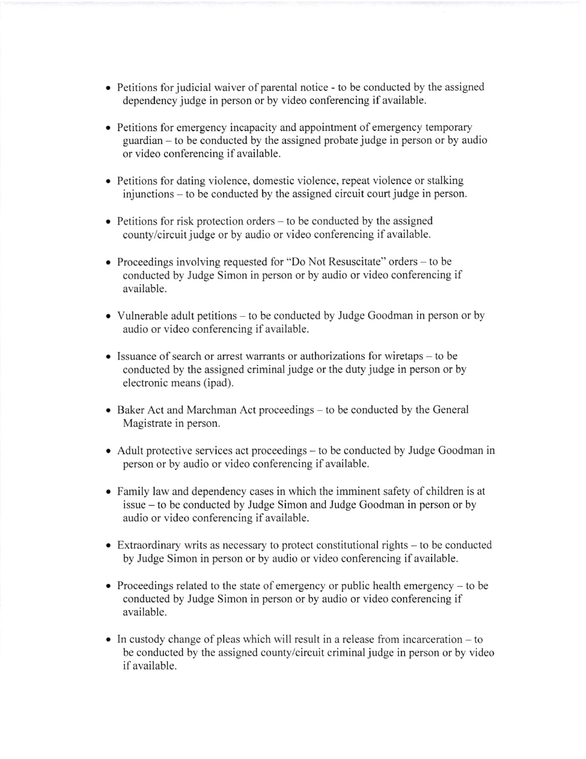- Petitions for judicial waiver of parental notice to be conducted by the assigned dependency judge in person or by video conferencing if available.
- o Petitions for emergency incapacity and appointment of emergency temporary guardian - to be conducted by the assigned probate judge in person or by audio or video conferencing if available.
- o Petitions for dating violence, domestic violence, repeat violence or stalking injunctions - to be conducted by the assigned circuit court judge in person.
- $\bullet$  Petitions for risk protection orders to be conducted by the assigned county/circuit judge or by audio or video conferencing if available.
- Proceedings involving requested for "Do Not Resuscitate" orders to be conducted by Judge Simon in person or by audio or video conferencing if available.
- . Vulnerable adult petitions to be conducted by Judge Goodman in person or by audio or video conferencing if available.
- Issuance of search or arrest warrants or authorizations for wiretaps to be conducted by the assigned criminal judge or the duty judge in person or by electronic means (ipad).
- Baker Act and Marchman Act proceedings to be conducted by the General Magistrate in person.
- Adult protective services act proceedings to be conducted by Judge Goodman in person or by audio or video conferencing if available.
- . Family law and dependency cases in which the imminent safety of children is at issue - to be conducted by Judge Simon and Judge Goodman in person or by audio or video conferencing if available.
- . Extraordinary writs as necessary to protect constitutional rights to be conducted by Judge Simon in person or by audio or video conferencing if available.
- Proceedings related to the state of emergency or public health emergency  $-$  to be conducted by Judge Simon in person or by audio or video conferencing if available.
- o In custody change of pleas which will result in a release from incarceration to be conducted by the assigned county/circuit criminal judge in person or by video if available.